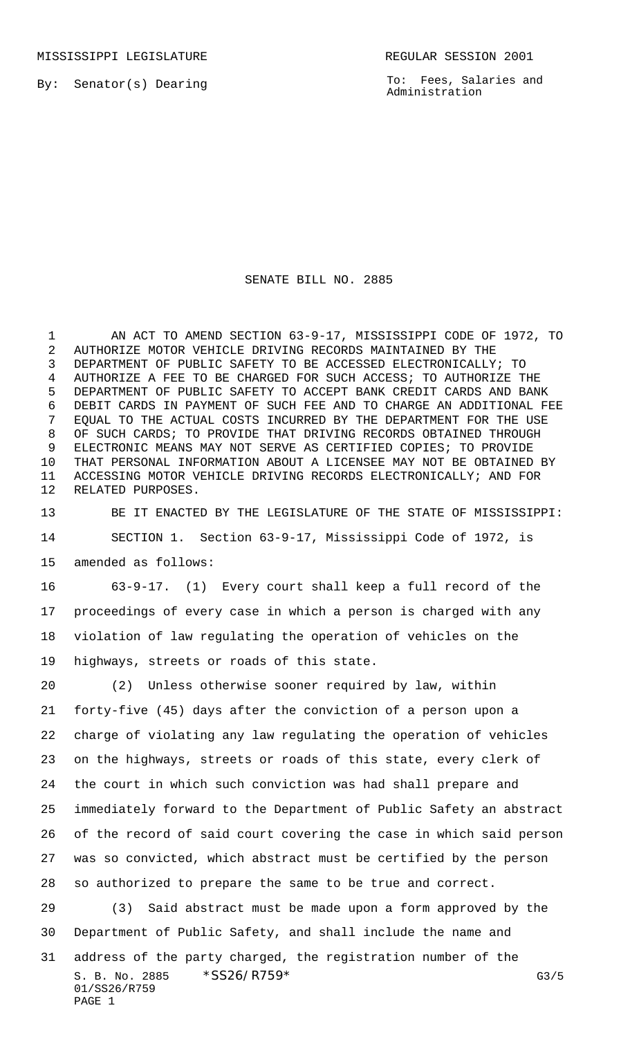MISSISSIPPI LEGISLATURE **REGULAR SESSION 2001** 

By: Senator(s) Dearing

To: Fees, Salaries and Administration

## SENATE BILL NO. 2885

 AN ACT TO AMEND SECTION 63-9-17, MISSISSIPPI CODE OF 1972, TO AUTHORIZE MOTOR VEHICLE DRIVING RECORDS MAINTAINED BY THE DEPARTMENT OF PUBLIC SAFETY TO BE ACCESSED ELECTRONICALLY; TO AUTHORIZE A FEE TO BE CHARGED FOR SUCH ACCESS; TO AUTHORIZE THE DEPARTMENT OF PUBLIC SAFETY TO ACCEPT BANK CREDIT CARDS AND BANK DEBIT CARDS IN PAYMENT OF SUCH FEE AND TO CHARGE AN ADDITIONAL FEE EQUAL TO THE ACTUAL COSTS INCURRED BY THE DEPARTMENT FOR THE USE OF SUCH CARDS; TO PROVIDE THAT DRIVING RECORDS OBTAINED THROUGH ELECTRONIC MEANS MAY NOT SERVE AS CERTIFIED COPIES; TO PROVIDE THAT PERSONAL INFORMATION ABOUT A LICENSEE MAY NOT BE OBTAINED BY ACCESSING MOTOR VEHICLE DRIVING RECORDS ELECTRONICALLY; AND FOR RELATED PURPOSES.

 BE IT ENACTED BY THE LEGISLATURE OF THE STATE OF MISSISSIPPI: SECTION 1. Section 63-9-17, Mississippi Code of 1972, is amended as follows:

 63-9-17. (1) Every court shall keep a full record of the proceedings of every case in which a person is charged with any violation of law regulating the operation of vehicles on the highways, streets or roads of this state.

 (2) Unless otherwise sooner required by law, within forty-five (45) days after the conviction of a person upon a charge of violating any law regulating the operation of vehicles on the highways, streets or roads of this state, every clerk of the court in which such conviction was had shall prepare and immediately forward to the Department of Public Safety an abstract of the record of said court covering the case in which said person was so convicted, which abstract must be certified by the person so authorized to prepare the same to be true and correct. (3) Said abstract must be made upon a form approved by the Department of Public Safety, and shall include the name and address of the party charged, the registration number of the

S. B. No. 2885  $*SS26/RT59*$  G3/5 01/SS26/R759

PAGE 1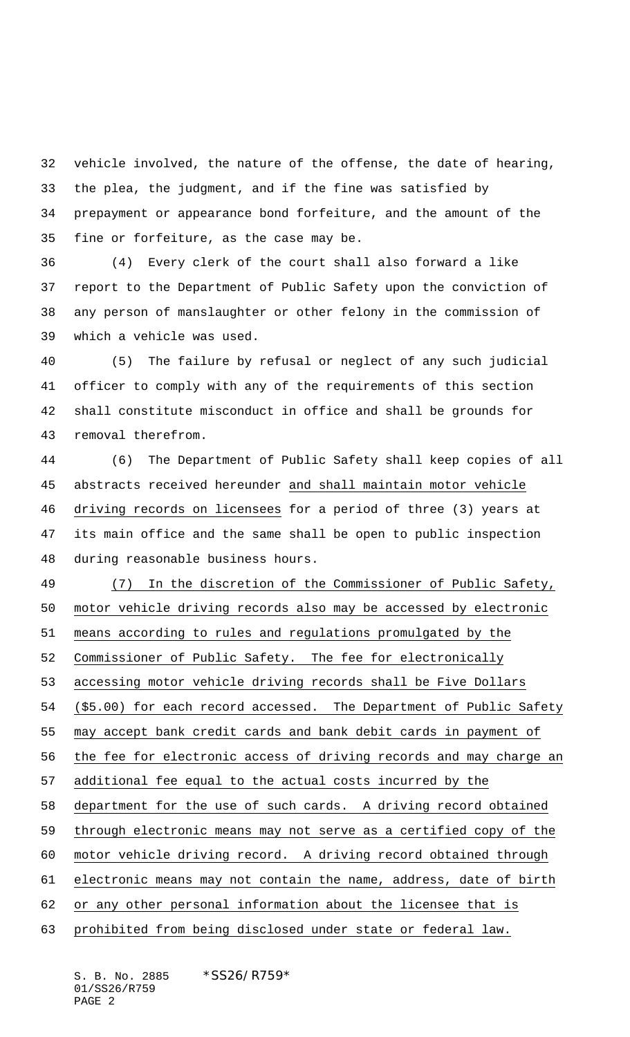vehicle involved, the nature of the offense, the date of hearing, the plea, the judgment, and if the fine was satisfied by prepayment or appearance bond forfeiture, and the amount of the fine or forfeiture, as the case may be.

 (4) Every clerk of the court shall also forward a like report to the Department of Public Safety upon the conviction of any person of manslaughter or other felony in the commission of which a vehicle was used.

 (5) The failure by refusal or neglect of any such judicial officer to comply with any of the requirements of this section shall constitute misconduct in office and shall be grounds for removal therefrom.

 (6) The Department of Public Safety shall keep copies of all abstracts received hereunder and shall maintain motor vehicle driving records on licensees for a period of three (3) years at its main office and the same shall be open to public inspection during reasonable business hours.

 (7) In the discretion of the Commissioner of Public Safety, motor vehicle driving records also may be accessed by electronic means according to rules and regulations promulgated by the Commissioner of Public Safety. The fee for electronically accessing motor vehicle driving records shall be Five Dollars (\$5.00) for each record accessed. The Department of Public Safety may accept bank credit cards and bank debit cards in payment of the fee for electronic access of driving records and may charge an additional fee equal to the actual costs incurred by the department for the use of such cards. A driving record obtained through electronic means may not serve as a certified copy of the motor vehicle driving record. A driving record obtained through electronic means may not contain the name, address, date of birth or any other personal information about the licensee that is prohibited from being disclosed under state or federal law.

S. B. No. 2885 \* SS26/R759\* 01/SS26/R759 PAGE 2